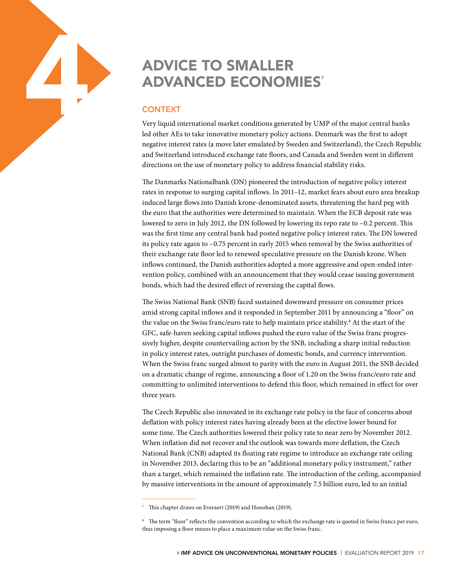## ADVICE TO SMALLER<br>
ADVANCED ECONOM<br>
CONTEXT<br>
Very liquid international market conditions generate<br>
led other AEs to take innovative monetary policy act **ADVANCED ECONOMIES<sup>7</sup>**

## **CONTEXT**

Very liquid international market conditions generated by UMP of the major central banks led other AEs to take innovative monetary policy actions. Denmark was the first to adopt negative interest rates (a move later emulated by Sweden and Switzerland), the Czech Republic and Switzerland introduced exchange rate floors, and Canada and Sweden went in different directions on the use of monetary policy to address financial stability risks.

The Danmarks Nationalbank (DN) pioneered the introduction of negative policy interest rates in response to surging capital inflows. In 2011–12, market fears about euro area breakup induced large flows into Danish krone-denominated assets, threatening the hard peg with the euro that the authorities were determined to maintain. When the ECB deposit rate was lowered to zero in July 2012, the DN followed by lowering its repo rate to –0.2 percent. This was the first time any central bank had posted negative policy interest rates. The DN lowered its policy rate again to –0.75 percent in early 2015 when removal by the Swiss authorities of their exchange rate floor led to renewed speculative pressure on the Danish krone. When inflows continued, the Danish authorities adopted a more aggressive and open-ended intervention policy, combined with an announcement that they would cease issuing government bonds, which had the desired effect of reversing the capital flows.

The Swiss National Bank (SNB) faced sustained downward pressure on consumer prices amid strong capital inflows and it responded in September 2011 by announcing a "floor" on the value on the Swiss franc/euro rate to help maintain price stability.<sup>8</sup> At the start of the GFC, safe-haven seeking capital inflows pushed the euro value of the Swiss franc progressively higher, despite countervailing action by the SNB, including a sharp initial reduction in policy interest rates, outright purchases of domestic bonds, and currency intervention. When the Swiss franc surged almost to parity with the euro in August 2011, the SNB decided on a dramatic change of regime, announcing a floor of 1.20 on the Swiss franc/euro rate and committing to unlimited interventions to defend this floor, which remained in effect for over three years.

The Czech Republic also innovated in its exchange rate policy in the face of concerns about deflation with policy interest rates having already been at the efective lower bound for some time. The Czech authorities lowered their policy rate to near zero by November 2012. When inflation did not recover and the outlook was towards more deflation, the Czech National Bank (CNB) adapted its floating rate regime to introduce an exchange rate ceiling in November 2013, declaring this to be an "additional monetary policy instrument," rather than a target, which remained the inflation rate. The introduction of the ceiling, accompanied by massive interventions in the amount of approximately 7.5 billion euro, led to an initial

<sup>7</sup> This chapter draws on Everaert (2019) and Honohan (2019).

<sup>&</sup>lt;sup>8</sup> The term "floor" reflects the convention according to which the exchange rate is quoted in Swiss francs per euro, thus imposing a floor means to place a maximum value on the Swiss franc.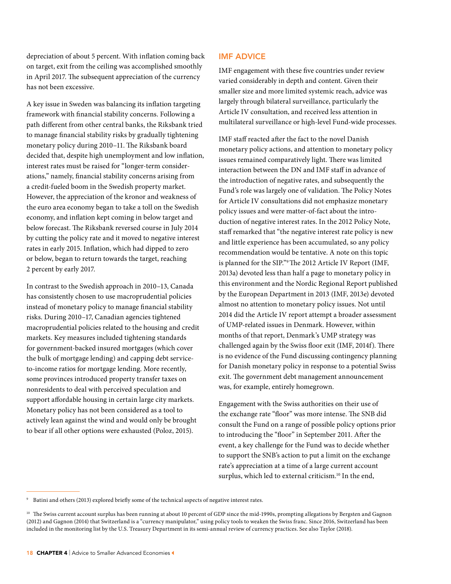depreciation of about 5 percent. With inflation coming back on target, exit from the ceiling was accomplished smoothly in April 2017. The subsequent appreciation of the currency has not been excessive.

A key issue in Sweden was balancing its inflation targeting framework with financial stability concerns. Following a path different from other central banks, the Riksbank tried to manage financial stability risks by gradually tightening monetary policy during 2010–11. The Riksbank board decided that, despite high unemployment and low inflation, interest rates must be raised for "longer-term considerations," namely, financial stability concerns arising from a credit-fueled boom in the Swedish property market. However, the appreciation of the kronor and weakness of the euro area economy began to take a toll on the Swedish economy, and inflation kept coming in below target and below forecast. The Riksbank reversed course in July 2014 by cutting the policy rate and it moved to negative interest rates in early 2015. Inflation, which had dipped to zero or below, began to return towards the target, reaching 2 percent by early 2017.

In contrast to the Swedish approach in 2010–13, Canada has consistently chosen to use macroprudential policies instead of monetary policy to manage financial stability risks. During 2010–17, Canadian agencies tightened macroprudential policies related to the housing and credit markets. Key measures included tightening standards for government-backed insured mortgages (which cover the bulk of mortgage lending) and capping debt serviceto-income ratios for mortgage lending. More recently, some provinces introduced property transfer taxes on nonresidents to deal with perceived speculation and support affordable housing in certain large city markets. Monetary policy has not been considered as a tool to actively lean against the wind and would only be brought to bear if all other options were exhausted (Poloz, 2015).

## IMF ADVICE

IMF engagement with these five countries under review varied considerably in depth and content. Given their smaller size and more limited systemic reach, advice was largely through bilateral surveillance, particularly the Article IV consultation, and received less attention in multilateral surveillance or high-level Fund-wide processes.

IMF staff reacted after the fact to the novel Danish monetary policy actions, and attention to monetary policy issues remained comparatively light. There was limited interaction between the DN and IMF staff in advance of the introduction of negative rates, and subsequently the Fund's role was largely one of validation. The Policy Notes for Article IV consultations did not emphasize monetary policy issues and were matter-of-fact about the introduction of negative interest rates. In the 2012 Policy Note, staff remarked that "the negative interest rate policy is new and little experience has been accumulated, so any policy recommendation would be tentative. A note on this topic is planned for the SIP."9 The 2012 Article IV Report (IMF, 2013a) devoted less than half a page to monetary policy in this environment and the Nordic Regional Report published by the European Department in 2013 (IMF, 2013e) devoted almost no attention to monetary policy issues. Not until 2014 did the Article IV report attempt a broader assessment of UMP-related issues in Denmark. However, within months of that report, Denmark's UMP strategy was challenged again by the Swiss floor exit (IMF, 2014f). There is no evidence of the Fund discussing contingency planning for Danish monetary policy in response to a potential Swiss exit. The government debt management announcement was, for example, entirely homegrown.

Engagement with the Swiss authorities on their use of the exchange rate "floor" was more intense. The SNB did consult the Fund on a range of possible policy options prior to introducing the "floor" in September 2011. After the event, a key challenge for the Fund was to decide whether to support the SNB's action to put a limit on the exchange rate's appreciation at a time of a large current account surplus, which led to external criticism.<sup>10</sup> In the end,

<sup>9</sup> Batini and others (2013) explored briefly some of the technical aspects of negative interest rates.

<sup>&</sup>lt;sup>10</sup> The Swiss current account surplus has been running at about 10 percent of GDP since the mid-1990s, prompting allegations by Bergsten and Gagnon (2012) and Gagnon (2014) that Switzerland is a "currency manipulator," using policy tools to weaken the Swiss franc. Since 2016, Switzerland has been included in the monitoring list by the U.S. Treasury Department in its semi-annual review of currency practices. See also Taylor (2018).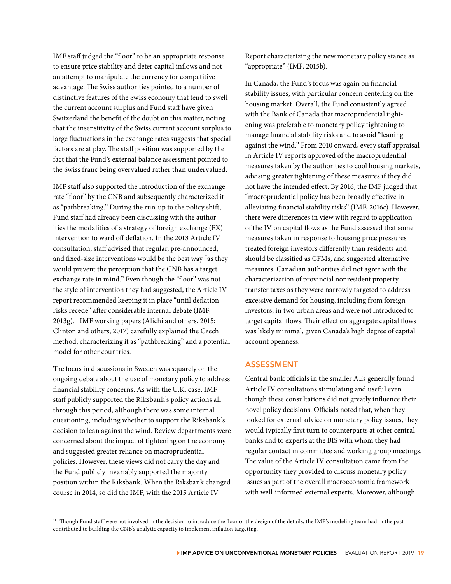IMF staff judged the "floor" to be an appropriate response to ensure price stability and deter capital inflows and not an attempt to manipulate the currency for competitive advantage. The Swiss authorities pointed to a number of distinctive features of the Swiss economy that tend to swell the current account surplus and Fund staff have given Switzerland the benefit of the doubt on this matter, noting that the insensitivity of the Swiss current account surplus to large fluctuations in the exchange rates suggests that special factors are at play. The staff position was supported by the fact that the Fund's external balance assessment pointed to the Swiss franc being overvalued rather than undervalued.

IMF staff also supported the introduction of the exchange rate "floor" by the CNB and subsequently characterized it as "pathbreaking." During the run-up to the policy shift, Fund staff had already been discussing with the authorities the modalities of a strategy of foreign exchange (FX) intervention to ward off deflation. In the 2013 Article IV consultation, staff advised that regular, pre-announced, and fixed-size interventions would be the best way "as they would prevent the perception that the CNB has a target exchange rate in mind." Even though the "floor" was not the style of intervention they had suggested, the Article IV report recommended keeping it in place "until deflation risks recede" after considerable internal debate (IMF, 2013g).11 IMF working papers (Alichi and others, 2015; Clinton and others, 2017) carefully explained the Czech method, characterizing it as "pathbreaking" and a potential model for other countries.

The focus in discussions in Sweden was squarely on the ongoing debate about the use of monetary policy to address financial stability concerns. As with the U.K. case, IMF staff publicly supported the Riksbank's policy actions all through this period, although there was some internal questioning, including whether to support the Riksbank's decision to lean against the wind. Review departments were concerned about the impact of tightening on the economy and suggested greater reliance on macroprudential policies. However, these views did not carry the day and the Fund publicly invariably supported the majority position within the Riksbank. When the Riksbank changed course in 2014, so did the IMF, with the 2015 Article IV

Report characterizing the new monetary policy stance as "appropriate" (IMF, 2015b).

In Canada, the Fund's focus was again on financial stability issues, with particular concern centering on the housing market. Overall, the Fund consistently agreed with the Bank of Canada that macroprudential tightening was preferable to monetary policy tightening to manage financial stability risks and to avoid "leaning against the wind." From 2010 onward, every staff appraisal in Article IV reports approved of the macroprudential measures taken by the authorities to cool housing markets, advising greater tightening of these measures if they did not have the intended effect. By 2016, the IMF judged that "macroprudential policy has been broadly effective in alleviating financial stability risks" (IMF, 2016c). However, there were differences in view with regard to application of the IV on capital flows as the Fund assessed that some measures taken in response to housing price pressures treated foreign investors differently than residents and should be classified as CFMs, and suggested alternative measures. Canadian authorities did not agree with the characterization of provincial nonresident property transfer taxes as they were narrowly targeted to address excessive demand for housing, including from foreign investors, in two urban areas and were not introduced to target capital flows. Their effect on aggregate capital flows was likely minimal, given Canada's high degree of capital account openness.

## ASSESSMENT

Central bank officials in the smaller AEs generally found Article IV consultations stimulating and useful even though these consultations did not greatly influence their novel policy decisions. Officials noted that, when they looked for external advice on monetary policy issues, they would typically first turn to counterparts at other central banks and to experts at the BIS with whom they had regular contact in committee and working group meetings. The value of the Article IV consultation came from the opportunity they provided to discuss monetary policy issues as part of the overall macroeconomic framework with well-informed external experts. Moreover, although

<sup>&</sup>lt;sup>11</sup> Though Fund staff were not involved in the decision to introduce the floor or the design of the details, the IMF's modeling team had in the past contributed to building the CNB's analytic capacity to implement inflation targeting.